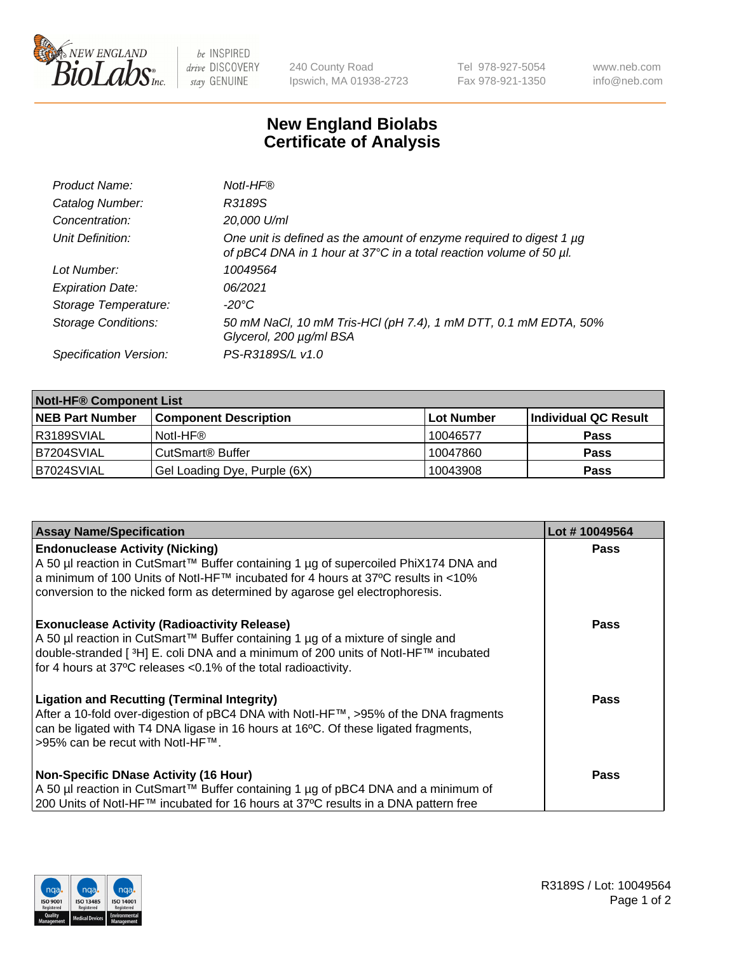

be INSPIRED drive DISCOVERY stay GENUINE

240 County Road Ipswich, MA 01938-2723 Tel 978-927-5054 Fax 978-921-1350 www.neb.com info@neb.com

## **New England Biolabs Certificate of Analysis**

| Product Name:              | Notl-HF®                                                                                                                                  |
|----------------------------|-------------------------------------------------------------------------------------------------------------------------------------------|
| Catalog Number:            | R3189S                                                                                                                                    |
| Concentration:             | 20,000 U/ml                                                                                                                               |
| Unit Definition:           | One unit is defined as the amount of enzyme required to digest 1 µg<br>of pBC4 DNA in 1 hour at 37°C in a total reaction volume of 50 µl. |
| Lot Number:                | 10049564                                                                                                                                  |
| <b>Expiration Date:</b>    | 06/2021                                                                                                                                   |
| Storage Temperature:       | $-20^{\circ}$ C                                                                                                                           |
| <b>Storage Conditions:</b> | 50 mM NaCl, 10 mM Tris-HCl (pH 7.4), 1 mM DTT, 0.1 mM EDTA, 50%<br>Glycerol, 200 µg/ml BSA                                                |
| Specification Version:     | PS-R3189S/L v1.0                                                                                                                          |

| <b>Notl-HF® Component List</b> |                              |            |                      |  |  |
|--------------------------------|------------------------------|------------|----------------------|--|--|
| <b>NEB Part Number</b>         | <b>Component Description</b> | Lot Number | Individual QC Result |  |  |
| R3189SVIAL                     | Notl-HF®                     | 10046577   | <b>Pass</b>          |  |  |
| B7204SVIAL                     | CutSmart <sup>®</sup> Buffer | 10047860   | <b>Pass</b>          |  |  |
| B7024SVIAL                     | Gel Loading Dye, Purple (6X) | 10043908   | <b>Pass</b>          |  |  |

| <b>Assay Name/Specification</b>                                                                                                                                                                                                                                                                              | Lot #10049564 |
|--------------------------------------------------------------------------------------------------------------------------------------------------------------------------------------------------------------------------------------------------------------------------------------------------------------|---------------|
| <b>Endonuclease Activity (Nicking)</b>                                                                                                                                                                                                                                                                       | <b>Pass</b>   |
| A 50 µl reaction in CutSmart™ Buffer containing 1 µg of supercoiled PhiX174 DNA and<br> a minimum of 100 Units of Notl-HF™ incubated for 4 hours at 37°C results in <10%<br>conversion to the nicked form as determined by agarose gel electrophoresis.                                                      |               |
| <b>Exonuclease Activity (Radioactivity Release)</b><br>  A 50 µl reaction in CutSmart™ Buffer containing 1 µg of a mixture of single and<br>double-stranded [ <sup>3</sup> H] E. coli DNA and a minimum of 200 units of Notl-HF™ incubated<br>for 4 hours at 37°C releases <0.1% of the total radioactivity. | <b>Pass</b>   |
| <b>Ligation and Recutting (Terminal Integrity)</b><br>After a 10-fold over-digestion of pBC4 DNA with Notl-HF™, >95% of the DNA fragments<br>can be ligated with T4 DNA ligase in 16 hours at 16 <sup>o</sup> C. Of these ligated fragments,<br> >95% can be recut with NotI-HF™.                            | Pass          |
| <b>Non-Specific DNase Activity (16 Hour)</b><br>A 50 µl reaction in CutSmart™ Buffer containing 1 µg of pBC4 DNA and a minimum of                                                                                                                                                                            | <b>Pass</b>   |
| 200 Units of Notl-HF™ incubated for 16 hours at 37°C results in a DNA pattern free                                                                                                                                                                                                                           |               |